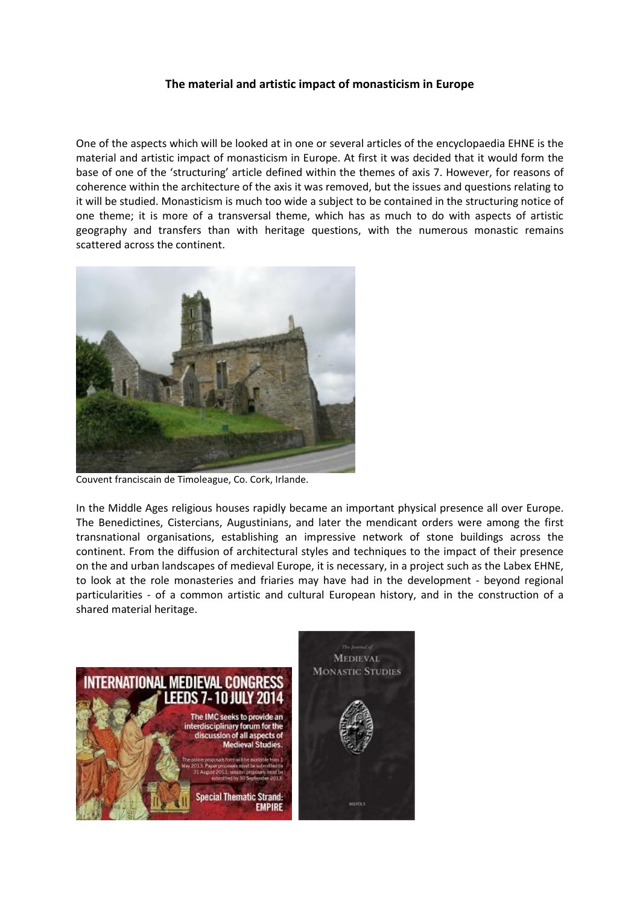## **The material and artistic impact of monasticism in Europe**

One of the aspects which will be looked at in one or several articles of the encyclopaedia EHNE is the material and artistic impact of monasticism in Europe. At first it was decided that it would form the base of one of the 'structuring' article defined within the themes of axis 7. However, for reasons of coherence within the architecture of the axis it was removed, but the issues and questions relating to it will be studied. Monasticism is much too wide a subject to be contained in the structuring notice of one theme; it is more of a transversal theme, which has as much to do with aspects of artistic geography and transfers than with heritage questions, with the numerous monastic remains scattered across the continent.



Couvent franciscain de Timoleague, Co. Cork, Irlande.

In the Middle Ages religious houses rapidly became an important physical presence all over Europe. The Benedictines, Cistercians, Augustinians, and later the mendicant orders were among the first transnational organisations, establishing an impressive network of stone buildings across the continent. From the diffusion of architectural styles and techniques to the impact of their presence on the and urban landscapes of medieval Europe, it is necessary, in a project such as the Labex EHNE, to look at the role monasteries and friaries may have had in the development - beyond regional particularities - of a common artistic and cultural European history, and in the construction of a shared material heritage.

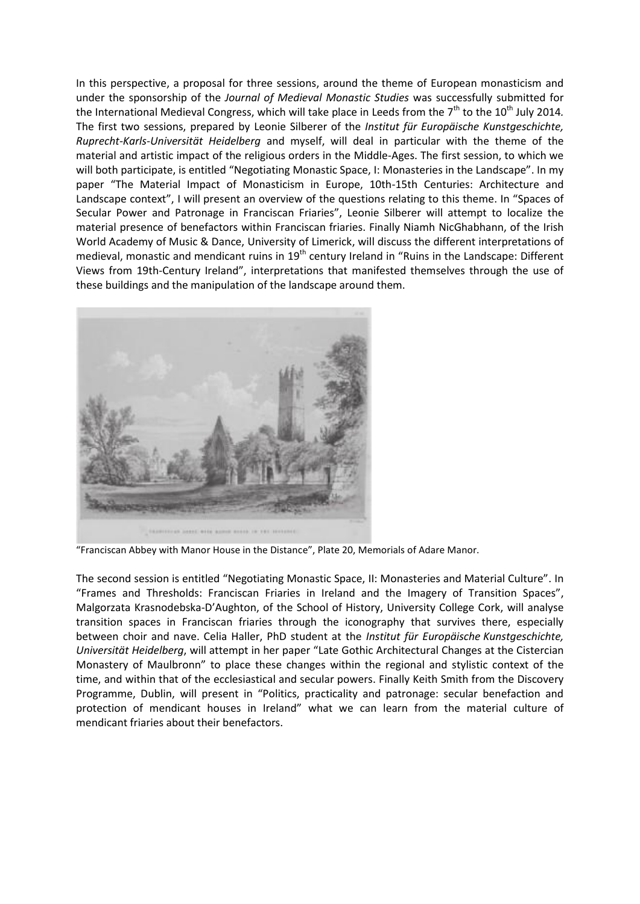In this perspective, a proposal for three sessions, around the theme of European monasticism and under the sponsorship of the *Journal of Medieval Monastic Studies* was successfully submitted for the International Medieval Congress, which will take place in Leeds from the 7<sup>th</sup> to the 10<sup>th</sup> July 2014. The first two sessions, prepared by Leonie Silberer of the *Institut für Europäische Kunstgeschichte, Ruprecht-Karls-Universität Heidelberg* and myself, will deal in particular with the theme of the material and artistic impact of the religious orders in the Middle-Ages. The first session, to which we will both participate, is entitled "Negotiating Monastic Space, I: Monasteries in the Landscape". In my paper "The Material Impact of Monasticism in Europe, 10th-15th Centuries: Architecture and Landscape context", I will present an overview of the questions relating to this theme. In "Spaces of Secular Power and Patronage in Franciscan Friaries", Leonie Silberer will attempt to localize the material presence of benefactors within Franciscan friaries. Finally Niamh NicGhabhann, of the Irish World Academy of Music & Dance, University of Limerick, will discuss the different interpretations of medieval, monastic and mendicant ruins in 19<sup>th</sup> century Ireland in "Ruins in the Landscape: Different Views from 19th-Century Ireland", interpretations that manifested themselves through the use of these buildings and the manipulation of the landscape around them.



"Franciscan Abbey with Manor House in the Distance", Plate 20, Memorials of Adare Manor.

The second session is entitled "Negotiating Monastic Space, II: Monasteries and Material Culture". In "Frames and Thresholds: Franciscan Friaries in Ireland and the Imagery of Transition Spaces", Malgorzata Krasnodebska-D'Aughton, of the School of History, University College Cork, will analyse transition spaces in Franciscan friaries through the iconography that survives there, especially between choir and nave. Celia Haller, PhD student at the *Institut für Europäische Kunstgeschichte, Universität Heidelberg*, will attempt in her paper "Late Gothic Architectural Changes at the Cistercian Monastery of Maulbronn" to place these changes within the regional and stylistic context of the time, and within that of the ecclesiastical and secular powers. Finally Keith Smith from the Discovery Programme, Dublin, will present in "Politics, practicality and patronage: secular benefaction and protection of mendicant houses in Ireland" what we can learn from the material culture of mendicant friaries about their benefactors.